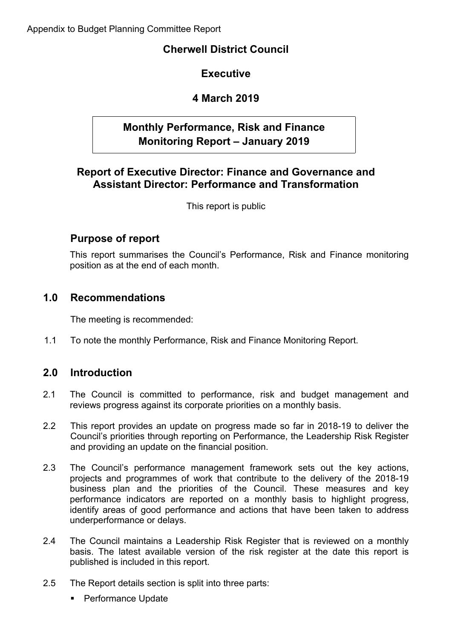# **Cherwell District Council**

# **Executive**

# **4 March 2019**

# **Monthly Performance, Risk and Finance Monitoring Report – January 2019**

# **Report of Executive Director: Finance and Governance and Assistant Director: Performance and Transformation**

This report is public

# **Purpose of report**

This report summarises the Council's Performance, Risk and Finance monitoring position as at the end of each month.

# **1.0 Recommendations**

The meeting is recommended:

1.1 To note the monthly Performance, Risk and Finance Monitoring Report.

# **2.0 Introduction**

- 2.1 The Council is committed to performance, risk and budget management and reviews progress against its corporate priorities on a monthly basis.
- 2.2 This report provides an update on progress made so far in 2018-19 to deliver the Council's priorities through reporting on Performance, the Leadership Risk Register and providing an update on the financial position.
- 2.3 The Council's performance management framework sets out the key actions, projects and programmes of work that contribute to the delivery of the 2018-19 business plan and the priorities of the Council. These measures and key performance indicators are reported on a monthly basis to highlight progress, identify areas of good performance and actions that have been taken to address underperformance or delays.
- 2.4 The Council maintains a Leadership Risk Register that is reviewed on a monthly basis. The latest available version of the risk register at the date this report is published is included in this report.
- 2.5 The Report details section is split into three parts:
	- **Performance Update**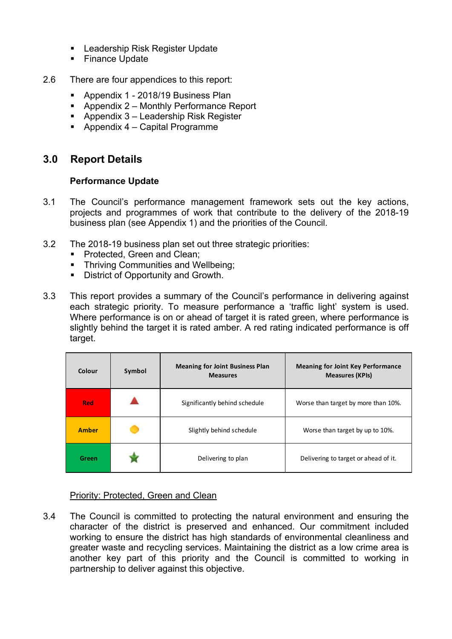- Leadership Risk Register Update
- **Finance Update**
- 2.6 There are four appendices to this report:
	- **Appendix 1 2018/19 Business Plan**
	- Appendix 2 Monthly Performance Report
	- Appendix 3 Leadership Risk Register
	- Appendix  $4 -$  Capital Programme

# **3.0 Report Details**

### **Performance Update**

- 3.1 The Council's performance management framework sets out the key actions, projects and programmes of work that contribute to the delivery of the 2018-19 business plan (see Appendix 1) and the priorities of the Council.
- 3.2 The 2018-19 business plan set out three strategic priorities:
	- **Protected, Green and Clean:**
	- **Thriving Communities and Wellbeing;**
	- District of Opportunity and Growth.
- 3.3 This report provides a summary of the Council's performance in delivering against each strategic priority. To measure performance a 'traffic light' system is used. Where performance is on or ahead of target it is rated green, where performance is slightly behind the target it is rated amber. A red rating indicated performance is off target.

| Colour       | Symbol | <b>Meaning for Joint Business Plan</b><br><b>Measures</b> | <b>Meaning for Joint Key Performance</b><br><b>Measures (KPIs)</b> |
|--------------|--------|-----------------------------------------------------------|--------------------------------------------------------------------|
| <b>Red</b>   |        | Significantly behind schedule                             | Worse than target by more than 10%.                                |
| <b>Amber</b> |        | Slightly behind schedule                                  | Worse than target by up to 10%.                                    |
| Green        |        | Delivering to plan                                        | Delivering to target or ahead of it.                               |

### Priority: Protected, Green and Clean

3.4 The Council is committed to protecting the natural environment and ensuring the character of the district is preserved and enhanced. Our commitment included working to ensure the district has high standards of environmental cleanliness and greater waste and recycling services. Maintaining the district as a low crime area is another key part of this priority and the Council is committed to working in partnership to deliver against this objective.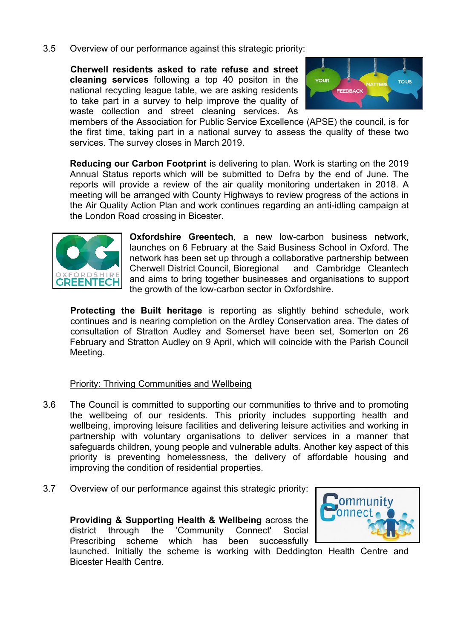3.5 Overview of our performance against this strategic priority:

**Cherwell residents asked to rate refuse and street cleaning services** following a top 40 positon in the national recycling league table, we are asking residents to take part in a survey to help improve the quality of waste collection and street cleaning services. As



members of the Association for Public Service Excellence (APSE) the council, is for the first time, taking part in a national survey to assess the quality of these two services. The survey closes in March 2019.

**Reducing our Carbon Footprint** is delivering to plan. Work is starting on the 2019 Annual Status reports which will be submitted to Defra by the end of June. The reports will provide a review of the air quality monitoring undertaken in 2018. A meeting will be arranged with County Highways to review progress of the actions in the Air Quality Action Plan and work continues regarding an anti-idling campaign at the London Road crossing in Bicester.



**Oxfordshire Greentech**, a new low-carbon business network, launches on 6 February at the Said Business School in Oxford. The network has been set up through a collaborative partnership between Cherwell District Council, Bioregional and Cambridge Cleantech and aims to bring together businesses and organisations to support the growth of the low-carbon sector in Oxfordshire.

**Protecting the Built heritage** is reporting as slightly behind schedule, work continues and is nearing completion on the Ardley Conservation area. The dates of consultation of Stratton Audley and Somerset have been set, Somerton on 26 February and Stratton Audley on 9 April, which will coincide with the Parish Council Meeting.

### Priority: Thriving Communities and Wellbeing

- 3.6 The Council is committed to supporting our communities to thrive and to promoting the wellbeing of our residents. This priority includes supporting health and wellbeing, improving leisure facilities and delivering leisure activities and working in partnership with voluntary organisations to deliver services in a manner that safeguards children, young people and vulnerable adults. Another key aspect of this priority is preventing homelessness, the delivery of affordable housing and improving the condition of residential properties.
- 3.7 Overview of our performance against this strategic priority:

**Providing & Supporting Health & Wellbeing** across the district through the 'Community Connect' Social Prescribing scheme which has been successfully



launched. Initially the scheme is working with Deddington Health Centre and Bicester Health Centre.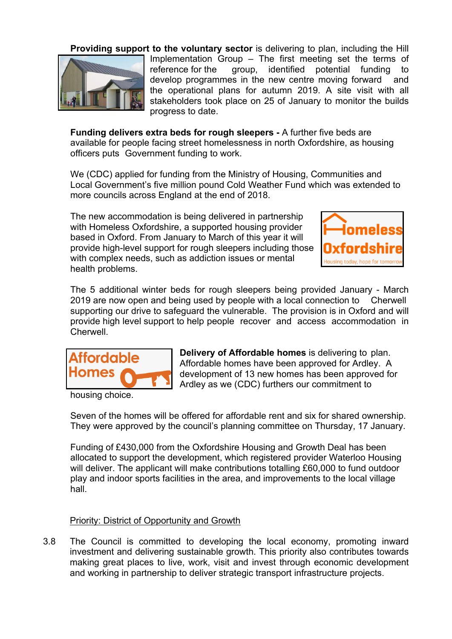

**Providing support to the voluntary sector** is delivering to plan, including the Hill Implementation Group – The first meeting set the terms of reference for the group, identified potential funding to develop programmes in the new centre moving forward and the operational plans for autumn 2019. A site visit with all stakeholders took place on 25 of January to monitor the builds progress to date.

**Funding delivers extra beds for rough sleepers -** A further five beds are available for people facing street homelessness in north Oxfordshire, as housing officers puts Government funding to work.

We (CDC) applied for funding from the Ministry of Housing, Communities and Local Government's five million pound Cold Weather Fund which was extended to more councils across England at the end of 2018.

The new accommodation is being delivered in partnership with Homeless Oxfordshire, a supported housing provider based in Oxford. From January to March of this year it will provide high-level support for rough sleepers including those with complex needs, such as addiction issues or mental health problems.



The 5 additional winter beds for rough sleepers being provided January - March 2019 are now open and being used by people with a local connection to Cherwell supporting our drive to safeguard the vulnerable. The provision is in Oxford and will provide high level support to help people recover and access accommodation in Cherwell.



housing choice.

**Delivery of Affordable homes** is delivering to plan. Affordable homes have been approved for Ardley. A development of 13 new homes has been approved for Ardley as we (CDC) furthers our commitment to

Seven of the homes will be offered for affordable rent and six for shared ownership. They were approved by the council's planning committee on Thursday, 17 January.

Funding of £430,000 from the Oxfordshire Housing and Growth Deal has been allocated to support the development, which registered provider Waterloo Housing will deliver. The applicant will make contributions totalling £60,000 to fund outdoor play and indoor sports facilities in the area, and improvements to the local village hall.

### Priority: District of Opportunity and Growth

3.8 The Council is committed to developing the local economy, promoting inward investment and delivering sustainable growth. This priority also contributes towards making great places to live, work, visit and invest through economic development and working in partnership to deliver strategic transport infrastructure projects.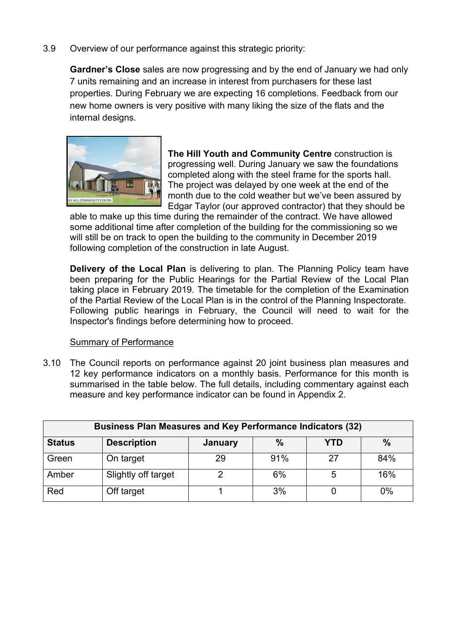3.9 Overview of our performance against this strategic priority:

**Gardner's Close** sales are now progressing and by the end of January we had only 7 units remaining and an increase in interest from purchasers for these last properties. During February we are expecting 16 completions. Feedback from our new home owners is very positive with many liking the size of the flats and the internal designs.



**The Hill Youth and Community Centre** construction is progressing well. During January we saw the foundations completed along with the steel frame for the sports hall. The project was delayed by one week at the end of the month due to the cold weather but we've been assured by Edgar Taylor (our approved contractor) that they should be

able to make up this time during the remainder of the contract. We have allowed some additional time after completion of the building for the commissioning so we will still be on track to open the building to the community in December 2019 following completion of the construction in late August.

**Delivery of the Local Plan** is delivering to plan. The Planning Policy team have been preparing for the Public Hearings for the Partial Review of the Local Plan taking place in February 2019. The timetable for the completion of the Examination of the Partial Review of the Local Plan is in the control of the Planning Inspectorate. Following public hearings in February, the Council will need to wait for the Inspector's findings before determining how to proceed.

### Summary of Performance

3.10 The Council reports on performance against 20 joint business plan measures and 12 key performance indicators on a monthly basis. Performance for this month is summarised in the table below. The full details, including commentary against each measure and key performance indicator can be found in Appendix 2.

| <b>Business Plan Measures and Key Performance Indicators (32)</b> |                     |         |      |     |      |
|-------------------------------------------------------------------|---------------------|---------|------|-----|------|
| <b>Status</b>                                                     | <b>Description</b>  | January | $\%$ | YTD | $\%$ |
| Green                                                             | On target           | 29      | 91%  | 27  | 84%  |
| Amber                                                             | Slightly off target |         | 6%   | 5   | 16%  |
| Red                                                               | Off target          |         | 3%   |     | 0%   |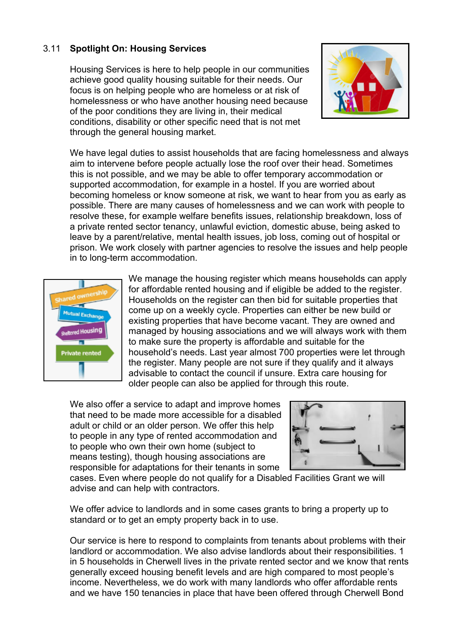### 3.11 **Spotlight On: Housing Services**

Housing Services is here to help people in our communities achieve good quality housing suitable for their needs. Our focus is on helping people who are homeless or at risk of homelessness or who have another housing need because of the poor conditions they are living in, their medical conditions, disability or other specific need that is not met through the general housing market.



We have legal duties to assist households that are facing homelessness and always aim to intervene before people actually lose the roof over their head. Sometimes this is not possible, and we may be able to offer temporary accommodation or supported accommodation, for example in a hostel. If you are worried about becoming homeless or know someone at risk, we want to hear from you as early as possible. There are many causes of homelessness and we can work with people to resolve these, for example welfare benefits issues, relationship breakdown, loss of a private rented sector tenancy, unlawful eviction, domestic abuse, being asked to leave by a parent/relative, mental health issues, job loss, coming out of hospital or prison. We work closely with partner agencies to resolve the issues and help people in to long-term accommodation.



We manage the housing register which means households can apply for affordable rented housing and if eligible be added to the register. Households on the register can then bid for suitable properties that come up on a weekly cycle. Properties can either be new build or existing properties that have become vacant. They are owned and managed by housing associations and we will always work with them to make sure the property is affordable and suitable for the household's needs. Last year almost 700 properties were let through the register. Many people are not sure if they qualify and it always advisable to contact the council if unsure. Extra care housing for older people can also be applied for through this route.

We also offer a service to adapt and improve homes that need to be made more accessible for a disabled adult or child or an older person. We offer this help to people in any type of rented accommodation and to people who own their own home (subject to means testing), though housing associations are responsible for adaptations for their tenants in some



cases. Even where people do not qualify for a Disabled Facilities Grant we will advise and can help with contractors.

We offer advice to landlords and in some cases grants to bring a property up to standard or to get an empty property back in to use.

Our service is here to respond to complaints from tenants about problems with their landlord or accommodation. We also advise landlords about their responsibilities. 1 in 5 households in Cherwell lives in the private rented sector and we know that rents generally exceed housing benefit levels and are high compared to most people's income. Nevertheless, we do work with many landlords who offer affordable rents and we have 150 tenancies in place that have been offered through Cherwell Bond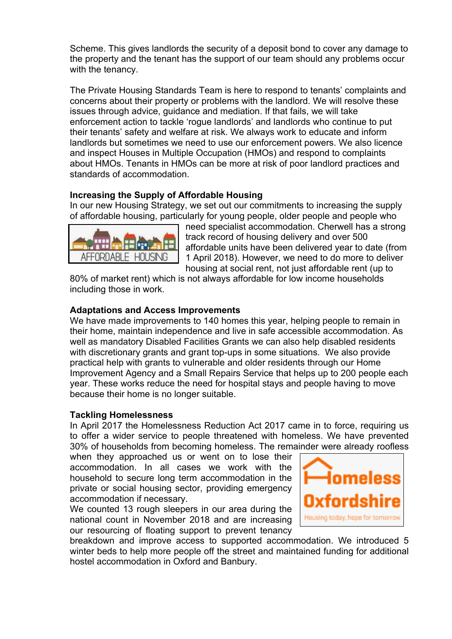Scheme. This gives landlords the security of a deposit bond to cover any damage to the property and the tenant has the support of our team should any problems occur with the tenancy.

The Private Housing Standards Team is here to respond to tenants' complaints and concerns about their property or problems with the landlord. We will resolve these issues through advice, guidance and mediation. If that fails, we will take enforcement action to tackle 'rogue landlords' and landlords who continue to put their tenants' safety and welfare at risk. We always work to educate and inform landlords but sometimes we need to use our enforcement powers. We also licence and inspect Houses in Multiple Occupation (HMOs) and respond to complaints about HMOs. Tenants in HMOs can be more at risk of poor landlord practices and standards of accommodation.

### **Increasing the Supply of Affordable Housing**

In our new Housing Strategy, we set out our commitments to increasing the supply of affordable housing, particularly for young people, older people and people who



need specialist accommodation. Cherwell has a strong track record of housing delivery and over 500 affordable units have been delivered year to date (from 1 April 2018). However, we need to do more to deliver housing at social rent, not just affordable rent (up to

80% of market rent) which is not always affordable for low income households including those in work.

### **Adaptations and Access Improvements**

We have made improvements to 140 homes this year, helping people to remain in their home, maintain independence and live in safe accessible accommodation. As well as mandatory Disabled Facilities Grants we can also help disabled residents with discretionary grants and grant top-ups in some situations. We also provide practical help with grants to vulnerable and older residents through our Home Improvement Agency and a Small Repairs Service that helps up to 200 people each year. These works reduce the need for hospital stays and people having to move because their home is no longer suitable.

#### **Tackling Homelessness**

In April 2017 the Homelessness Reduction Act 2017 came in to force, requiring us to offer a wider service to people threatened with homeless. We have prevented 30% of households from becoming homeless. The remainder were already roofless

when they approached us or went on to lose their accommodation. In all cases we work with the household to secure long term accommodation in the private or social housing sector, providing emergency accommodation if necessary.

We counted 13 rough sleepers in our area during the national count in November 2018 and are increasing our resourcing of floating support to prevent tenancy



breakdown and improve access to supported accommodation. We introduced 5 winter beds to help more people off the street and maintained funding for additional hostel accommodation in Oxford and Banbury.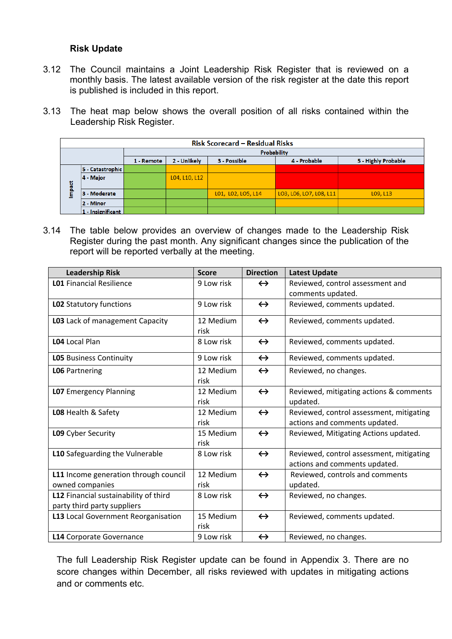### **Risk Update**

- 3.12 The Council maintains a Joint Leadership Risk Register that is reviewed on a monthly basis. The latest available version of the risk register at the date this report is published is included in this report.
- 3.13 The heat map below shows the overall position of all risks contained within the Leadership Risk Register.

| <b>Risk Scorecard - Residual Risks</b> |                   |                                                                                   |               |                    |                         |          |  |  |
|----------------------------------------|-------------------|-----------------------------------------------------------------------------------|---------------|--------------------|-------------------------|----------|--|--|
|                                        |                   | Probability                                                                       |               |                    |                         |          |  |  |
|                                        |                   | 5 - Highly Probable<br>2 - Unlikely<br>4 - Probable<br>3 - Possible<br>1 - Remote |               |                    |                         |          |  |  |
|                                        | 5 - Catastrophic  |                                                                                   |               |                    |                         |          |  |  |
| <u>ised</u>                            | 4 - Major         |                                                                                   | L04, L10, L12 |                    |                         |          |  |  |
| E                                      | 3 - Moderate      |                                                                                   |               | L01, L02, L05, L14 | LO3, LO6, LO7, LO8, L11 | L09, L13 |  |  |
|                                        | 2 - Minor         |                                                                                   |               |                    |                         |          |  |  |
|                                        | 1 - Insignificant |                                                                                   |               |                    |                         |          |  |  |

3.14 The table below provides an overview of changes made to the Leadership Risk Register during the past month. Any significant changes since the publication of the report will be reported verbally at the meeting.

| <b>Leadership Risk</b>                | <b>Score</b> | <b>Direction</b>  | <b>Latest Update</b>                     |
|---------------------------------------|--------------|-------------------|------------------------------------------|
| <b>L01 Financial Resilience</b>       | 9 Low risk   | $\leftrightarrow$ | Reviewed, control assessment and         |
|                                       |              |                   | comments updated.                        |
| LO2 Statutory functions               | 9 Low risk   | $\leftrightarrow$ | Reviewed, comments updated.              |
| LO3 Lack of management Capacity       | 12 Medium    | $\leftrightarrow$ | Reviewed, comments updated.              |
|                                       | risk         |                   |                                          |
| L04 Local Plan                        | 8 Low risk   | $\leftrightarrow$ | Reviewed, comments updated.              |
| <b>LO5</b> Business Continuity        | 9 Low risk   | $\leftrightarrow$ | Reviewed, comments updated.              |
| <b>LO6</b> Partnering                 | 12 Medium    | $\leftrightarrow$ | Reviewed, no changes.                    |
|                                       | risk         |                   |                                          |
| <b>LO7</b> Emergency Planning         | 12 Medium    | $\leftrightarrow$ | Reviewed, mitigating actions & comments  |
|                                       | risk         |                   | updated.                                 |
| LO8 Health & Safety                   | 12 Medium    | $\leftrightarrow$ | Reviewed, control assessment, mitigating |
|                                       | risk         |                   | actions and comments updated.            |
| L09 Cyber Security                    | 15 Medium    | $\leftrightarrow$ | Reviewed, Mitigating Actions updated.    |
|                                       | risk         |                   |                                          |
| L10 Safeguarding the Vulnerable       | 8 Low risk   | $\leftrightarrow$ | Reviewed, control assessment, mitigating |
|                                       |              |                   | actions and comments updated.            |
| L11 Income generation through council | 12 Medium    | $\leftrightarrow$ | Reviewed, controls and comments          |
| owned companies                       | risk         |                   | updated.                                 |
| L12 Financial sustainability of third | 8 Low risk   | $\leftrightarrow$ | Reviewed, no changes.                    |
| party third party suppliers           |              |                   |                                          |
| L13 Local Government Reorganisation   | 15 Medium    | $\leftrightarrow$ | Reviewed, comments updated.              |
|                                       | risk         |                   |                                          |
| L14 Corporate Governance              | 9 Low risk   | $\leftrightarrow$ | Reviewed, no changes.                    |

The full Leadership Risk Register update can be found in Appendix 3. There are no score changes within December, all risks reviewed with updates in mitigating actions and or comments etc.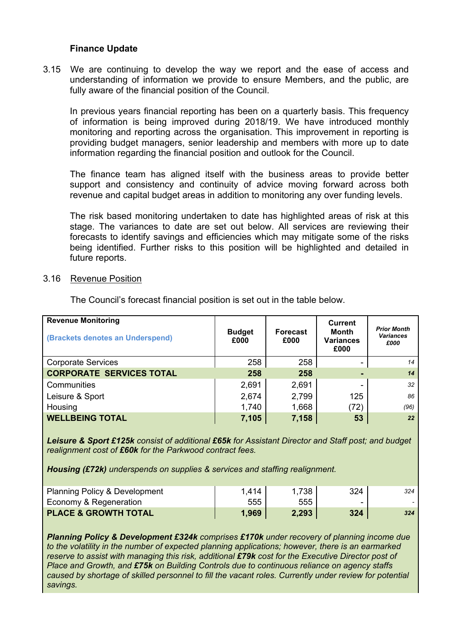#### **Finance Update**

3.15 We are continuing to develop the way we report and the ease of access and understanding of information we provide to ensure Members, and the public, are fully aware of the financial position of the Council.

In previous years financial reporting has been on a quarterly basis. This frequency of information is being improved during 2018/19. We have introduced monthly monitoring and reporting across the organisation. This improvement in reporting is providing budget managers, senior leadership and members with more up to date information regarding the financial position and outlook for the Council.

The finance team has aligned itself with the business areas to provide better support and consistency and continuity of advice moving forward across both revenue and capital budget areas in addition to monitoring any over funding levels.

The risk based monitoring undertaken to date has highlighted areas of risk at this stage. The variances to date are set out below. All services are reviewing their forecasts to identify savings and efficiencies which may mitigate some of the risks being identified. Further risks to this position will be highlighted and detailed in future reports.

#### 3.16 Revenue Position

| <b>Revenue Monitoring</b><br>(Brackets denotes an Underspend) | <b>Budget</b><br>£000 | <b>Forecast</b><br>£000 | <b>Current</b><br>Month<br><b>Variances</b><br>£000 | <b>Prior Month</b><br><b>Variances</b><br>£000 |
|---------------------------------------------------------------|-----------------------|-------------------------|-----------------------------------------------------|------------------------------------------------|
| <b>Corporate Services</b>                                     | 258                   | 258                     |                                                     | 14                                             |
| <b>CORPORATE SERVICES TOTAL</b>                               | 258                   | 258                     |                                                     | 14                                             |
| Communities                                                   | 2,691                 | 2,691                   |                                                     | 32                                             |
| Leisure & Sport                                               | 2,674                 | 2,799                   | 125                                                 | 86                                             |
| Housing                                                       | 1,740                 | 1,668                   | (72)                                                | (96)                                           |
| <b>WELLBEING TOTAL</b>                                        | 7,105                 | 7,158                   | 53                                                  | 22                                             |

The Council's forecast financial position is set out in the table below.

*Leisure & Sport £125k consist of additional £65k for Assistant Director and Staff post; and budget realignment cost of £60k for the Parkwood contract fees.*

*Housing (£72k) underspends on supplies & services and staffing realignment.*

| <b>Planning Policy &amp; Development</b> | 1,414 | 1,738 | 324 | 324 |
|------------------------------------------|-------|-------|-----|-----|
| Economy & Regeneration                   | 555   | 555   | -   |     |
| <b>PLACE &amp; GROWTH TOTAL</b>          | 1,969 | 2,293 | 324 | 324 |

*Planning Policy & Development £324k comprises £170k under recovery of planning income due to the volatility in the number of expected planning applications; however, there is an earmarked reserve to assist with managing this risk, additional £79k cost for the Executive Director post of Place and Growth, and £75k on Building Controls due to continuous reliance on agency staffs caused by shortage of skilled personnel to fill the vacant roles. Currently under review for potential savings.*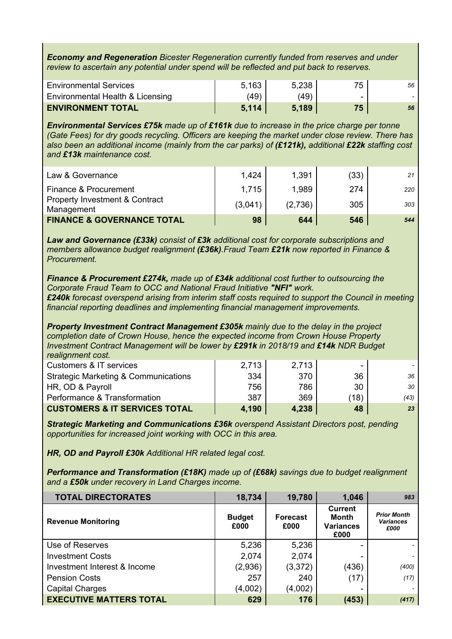*Economy and Regeneration Bicester Regeneration currently funded from reserves and under review to ascertain any potential under spend will be reflected and put back to reserves.*

| <b>Environmental Services</b>    | 5.163 | 5,238 | 75 | 56 |
|----------------------------------|-------|-------|----|----|
| Environmental Health & Licensing | (49)  | (49)  |    |    |
| <b>ENVIRONMENT TOTAL</b>         | 5.114 | 5.189 | 75 | 56 |

*Environmental Services £75k made up of £161k due to increase in the price charge per tonne (Gate Fees) for dry goods recycling. Officers are keeping the market under close review. There has also been an additional income (mainly from the car parks) of (£121k), additional £22k staffing cost and £13k maintenance cost.*

| Law & Governance                                        | 1,424   | 1,391   | (33) | 21  |
|---------------------------------------------------------|---------|---------|------|-----|
| Finance & Procurement                                   | 1.715   | 1,989   | 274  | 220 |
| <b>Property Investment &amp; Contract</b><br>Management | (3,041) | (2,736) | 305  | 303 |
| <b>FINANCE &amp; GOVERNANCE TOTAL</b>                   | 98      | 644     | 546  | 544 |

*Law and Governance (£33k) consist of £3k additional cost for corporate subscriptions and members allowance budget realignment (£36k).Fraud Team £21k now reported in Finance & Procurement.*

*Finance & Procurement £274k, made up of £34k additional cost further to outsourcing the Corporate Fraud Team to OCC and National Fraud Initiative "NFI" work.*

*£240k forecast overspend arising from interim staff costs required to support the Council in meeting financial reporting deadlines and implementing financial management improvements.*

*Property Investment Contract Management £305k mainly due to the delay in the project completion date of Crown House, hence the expected income from Crown House Property Investment Contract Management will be lower by £291k in 2018/19 and £14k NDR Budget realignment cost.*

| Customers & IT services                         | 2,713 | 2,713 |      |      |
|-------------------------------------------------|-------|-------|------|------|
| <b>Strategic Marketing &amp; Communications</b> | 334   | 370   | 36   | 36   |
| HR, OD & Payroll                                | 756   | 786   | 30   | 30   |
| Performance & Transformation                    | 387   | 369   | (18) | (43) |
| <b>CUSTOMERS &amp; IT SERVICES TOTAL</b>        | 4,190 | 4,238 | 48   | 23   |

*Strategic Marketing and Communications £36k overspend Assistant Directors post, pending opportunities for increased joint working with OCC in this area.*

*HR, OD and Payroll £30k Additional HR related legal cost.*

*Performance and Transformation (£18K) made up of (£68k) savings due to budget realignment and a £50k under recovery in Land Charges income.*

| <b>TOTAL DIRECTORATES</b>      | 18,734                | 19,780                  | 1,046                                                      | 983                                            |
|--------------------------------|-----------------------|-------------------------|------------------------------------------------------------|------------------------------------------------|
| <b>Revenue Monitoring</b>      | <b>Budget</b><br>£000 | <b>Forecast</b><br>£000 | <b>Current</b><br><b>Month</b><br><b>Variances</b><br>£000 | <b>Prior Month</b><br><b>Variances</b><br>£000 |
| Use of Reserves                | 5,236                 | 5,236                   |                                                            |                                                |
| <b>Investment Costs</b>        | 2,074                 | 2,074                   |                                                            |                                                |
| Investment Interest & Income   | (2,936)               | (3,372)                 | (436)                                                      | (400)                                          |
| <b>Pension Costs</b>           | 257                   | 240                     | (17)                                                       | (17)                                           |
| <b>Capital Charges</b>         | (4,002)               | (4,002)                 |                                                            |                                                |
| <b>EXECUTIVE MATTERS TOTAL</b> | 629                   | 176                     | (453)                                                      | (417)                                          |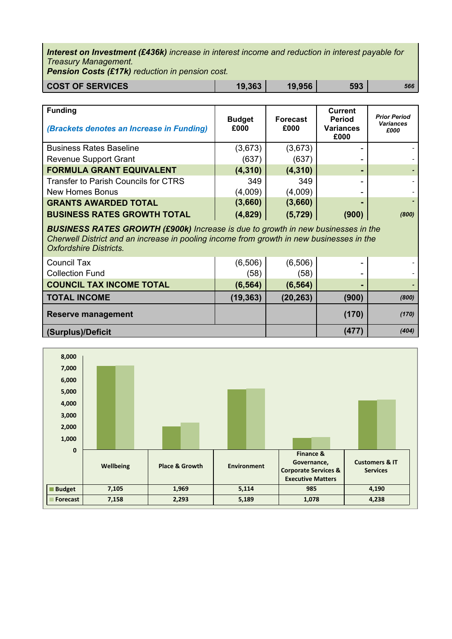*Interest on Investment (£436k) increase in interest income and reduction in interest payable for Treasury Management.*

*Pension Costs (£17k) reduction in pension cost.*

| <b>COST OF SERVICES</b> | 19,363 | 19,956 | 593 | 566 |
|-------------------------|--------|--------|-----|-----|

| <b>Funding</b><br>(Brackets denotes an Increase in Funding) | <b>Budget</b><br>£000 | <b>Forecast</b><br>£000 | <b>Current</b><br><b>Period</b><br><b>Variances</b><br>£000 | <b>Prior Period</b><br><b>Variances</b><br>£000 |
|-------------------------------------------------------------|-----------------------|-------------------------|-------------------------------------------------------------|-------------------------------------------------|
| <b>Business Rates Baseline</b>                              | (3,673)               | (3,673)                 |                                                             |                                                 |
| <b>Revenue Support Grant</b>                                | (637)                 | (637)                   |                                                             |                                                 |
| <b>FORMULA GRANT EQUIVALENT</b>                             | (4, 310)              | (4, 310)                |                                                             |                                                 |
| <b>Transfer to Parish Councils for CTRS</b>                 | 349                   | 349                     |                                                             |                                                 |
| <b>New Homes Bonus</b>                                      | (4,009)               | (4,009)                 |                                                             |                                                 |
| <b>GRANTS AWARDED TOTAL</b>                                 | (3,660)               | (3,660)                 |                                                             | $\sim$                                          |
| <b>BUSINESS RATES GROWTH TOTAL</b>                          | (4,829)               | (5, 729)                | (900                                                        | (800)                                           |

*BUSINESS RATES GROWTH (£900k) Increase is due to growth in new businesses in the Cherwell District and an increase in pooling income from growth in new businesses in the Oxfordshire Districts.*

| Council Tax                     | (6, 506)  | (6,506)   | -     |       |
|---------------------------------|-----------|-----------|-------|-------|
| <b>Collection Fund</b>          | (58)      | (58)      |       |       |
| <b>COUNCIL TAX INCOME TOTAL</b> | (6, 564)  | (6, 564)  |       |       |
| <b>TOTAL INCOME</b>             | (19, 363) | (20, 263) | (900) | (800) |
| <b>Reserve management</b>       |           |           | (170) | (170) |
| (Surplus)/Deficit               |           | (477)     | (404) |       |

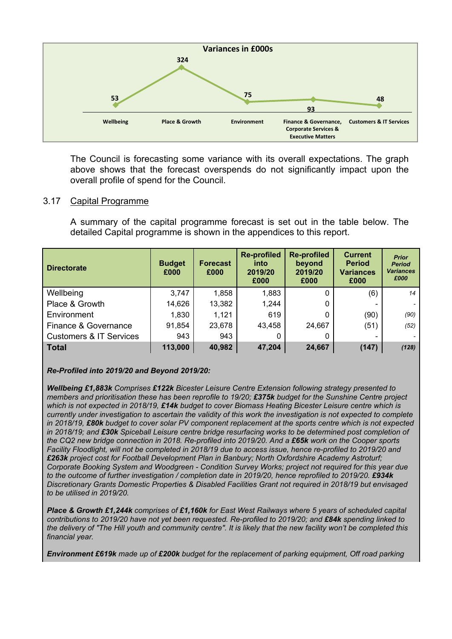

The Council is forecasting some variance with its overall expectations. The graph above shows that the forecast overspends do not significantly impact upon the overall profile of spend for the Council.

#### 3.17 Capital Programme

A summary of the capital programme forecast is set out in the table below. The detailed Capital programme is shown in the appendices to this report.

| <b>Directorate</b>                 | <b>Budget</b><br>£000 | <b>Forecast</b><br>£000 | <b>Re-profiled</b><br>into<br>2019/20<br>£000 | <b>Re-profiled</b><br>beyond<br>2019/20<br>£000 | <b>Current</b><br><b>Period</b><br><b>Variances</b><br>£000 | <b>Prior</b><br><b>Period</b><br><b>Variances</b><br>£000 |
|------------------------------------|-----------------------|-------------------------|-----------------------------------------------|-------------------------------------------------|-------------------------------------------------------------|-----------------------------------------------------------|
| Wellbeing                          | 3,747                 | 1,858                   | 1,883                                         | U                                               | (6)                                                         | 14                                                        |
| Place & Growth                     | 14,626                | 13,382                  | 1,244                                         | 0                                               |                                                             |                                                           |
| Environment                        | 1,830                 | 1,121                   | 619                                           | 0                                               | (90)                                                        | (90)                                                      |
| Finance & Governance               | 91,854                | 23,678                  | 43,458                                        | 24,667                                          | (51)                                                        | (52)                                                      |
| <b>Customers &amp; IT Services</b> | 943                   | 943                     |                                               | O                                               |                                                             |                                                           |
| <b>Total</b>                       | 113,000               | 40,982                  | 47,204                                        | 24,667                                          | (147)                                                       | (128)                                                     |

#### *Re-Profiled into 2019/20 and Beyond 2019/20:*

*Wellbeing £1,883k Comprises £122k Bicester Leisure Centre Extension following strategy presented to members and prioritisation these has been reprofile to 19/20; £375k budget for the Sunshine Centre project which is not expected in 2018/19, £14k budget to cover Biomass Heating Bicester Leisure centre which is* currently under investigation to ascertain the validity of this work the investigation is not expected to complete in 2018/19. £80k budget to cover solar PV component replacement at the sports centre which is not expected *in 2018/19; and £30k Spiceball Leisure centre bridge resurfacing works to be determined post completion of* the CQ2 new bridge connection in 2018. Re-profiled into 2019/20. And a £65k work on the Cooper sports Facility Floodlight, will not be completed in 2018/19 due to access issue, hence re-profiled to 2019/20 and *£263k project cost for Football Development Plan in Banbury; North Oxfordshire Academy Astroturf; Corporate Booking System and Woodgreen - Condition Survey Works; project not required for this year due to the outcome of further investigation / completion date in 2019/20, hence reprofiled to 2019/20. £934k Discretionary Grants Domestic Properties & Disabled Facilities Grant not required in 2018/19 but envisaged to be utilised in 2019/20.*

*Place & Growth £1,244k comprises of £1,160k for East West Railways where 5 years of scheduled capital contributions to 2019/20 have not yet been requested. Re-profiled to 2019/20; and £84k spending linked to* the delivery of "The Hill vouth and community centre". It is likely that the new facility won't be completed this *financial year.*

*Environment £619k made up of £200k budget for the replacement of parking equipment, Off road parking*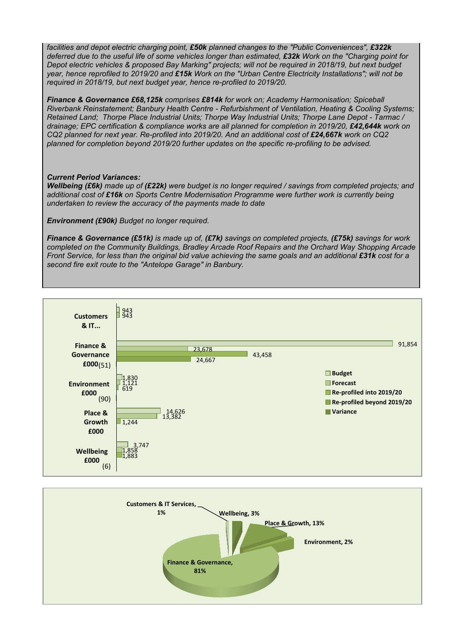*facilities and depot electric charging point, £50k planned changes to the "Public Conveniences", £322k* deferred due to the useful life of some vehicles longer than estimated, £32k Work on the "Charging point for Depot electric vehicles & proposed Bay Marking" projects; will not be required in 2018/19, but next budget year, hence reprofiled to 2019/20 and £15k Work on the "Urban Centre Electricity Installations"; will not be *required in 2018/19, but next budget year, hence re-profiled to 2019/20.*

*Finance & Governance £68,125k comprises £814k for work on; Academy Harmonisation; Spiceball Riverbank Reinstatement; Banbury Health Centre - Refurbishment of Ventilation, Heating & Cooling Systems; Retained Land; Thorpe Place Industrial Units; Thorpe Way Industrial Units; Thorpe Lane Depot - Tarmac / drainage; EPC certification & compliance works are all planned for completion in 2019/20, £42,644k work on CQ2 planned for next year. Re-profiled into 2019/20. And an additional cost of £24,667k work on CQ2 planned for completion beyond 2019/20 further updates on the specific re-profiling to be advised.*

#### *Current Period Variances:*

Wellbeing (£6k) made up of (£22k) were budget is no longer required / savings from completed projects; and *additional cost of £16k on Sports Centre Modernisation Programme were further work is currently being undertaken to review the accuracy of the payments made to date*

*Environment (£90k) Budget no longer required.*

*Finance & Governance (£51k) is made up of, (£7k) savings on completed projects, (£75k) savings for work completed on the Community Buildings, Bradley Arcade Roof Repairs and the Orchard Way Shopping Arcade* Front Service, for less than the original bid value achieving the same goals and an additional £31k cost for a *second fire exit route to the "Antelope Garage" in Banbury.*



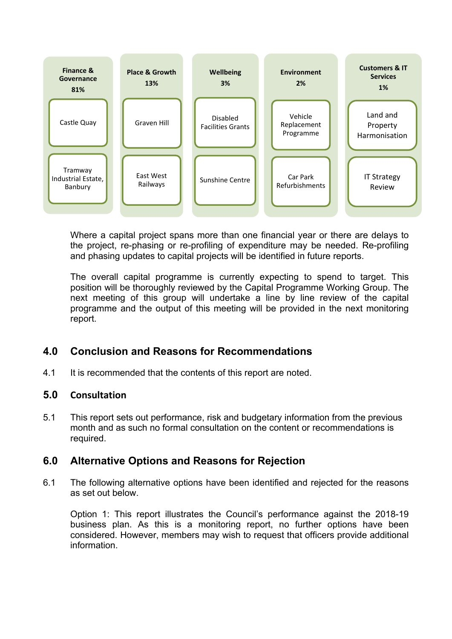

Where a capital project spans more than one financial year or there are delays to the project, re-phasing or re-profiling of expenditure may be needed. Re-profiling and phasing updates to capital projects will be identified in future reports.

The overall capital programme is currently expecting to spend to target. This position will be thoroughly reviewed by the Capital Programme Working Group. The next meeting of this group will undertake a line by line review of the capital programme and the output of this meeting will be provided in the next monitoring report.

# **4.0 Conclusion and Reasons for Recommendations**

4.1 It is recommended that the contents of this report are noted.

### **5.0 Consultation**

5.1 This report sets out performance, risk and budgetary information from the previous month and as such no formal consultation on the content or recommendations is required.

## **6.0 Alternative Options and Reasons for Rejection**

6.1 The following alternative options have been identified and rejected for the reasons as set out below.

Option 1: This report illustrates the Council's performance against the 2018-19 business plan. As this is a monitoring report, no further options have been considered. However, members may wish to request that officers provide additional information.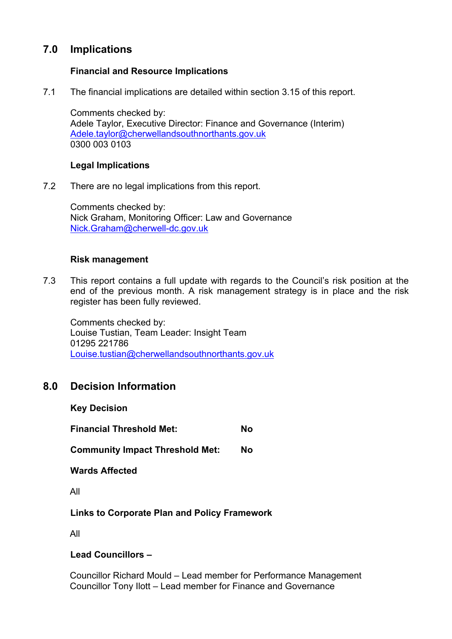# **7.0 Implications**

### **Financial and Resource Implications**

7.1 The financial implications are detailed within section 3.15 of this report.

Comments checked by: Adele Taylor, Executive Director: Finance and Governance (Interim) [Adele.taylor@cherwellandsouthnorthants.gov.uk](mailto:Adele.taylor@cherwellandsouthnorthants.gov.uk) 0300 003 0103

### **Legal Implications**

7.2 There are no legal implications from this report.

Comments checked by: Nick Graham, Monitoring Officer: Law and Governance [Nick.Graham@cherwell-dc.gov.uk](mailto:Nick.Graham@cherwell-dc.gov.uk)

### **Risk management**

7.3 This report contains a full update with regards to the Council's risk position at the end of the previous month. A risk management strategy is in place and the risk register has been fully reviewed.

Comments checked by: Louise Tustian, Team Leader: Insight Team 01295 221786 [Louise.tustian@cherwellandsouthnorthants.gov.uk](mailto:Louise.tustian@cherwellandsouthnorthants.gov.uk)

## **8.0 Decision Information**

**Key Decision**

**Financial Threshold Met: No**

**Community Impact Threshold Met: No**

**Wards Affected**

All

### **Links to Corporate Plan and Policy Framework**

All

**Lead Councillors –**

Councillor Richard Mould – Lead member for Performance Management Councillor Tony Ilott – Lead member for Finance and Governance